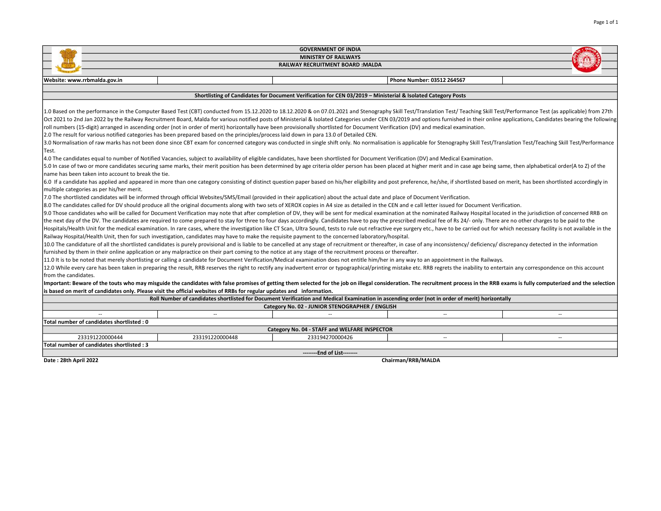|                                                                                                                                                                                                                                |                                                                                                                                                                                                                                                                                                                                                                                                                                                                                                                                                                                                                                                         | <b>GOVERNMENT OF INDIA</b>                                                                                   |                            |        |  |  |  |  |  |  |  |  |
|--------------------------------------------------------------------------------------------------------------------------------------------------------------------------------------------------------------------------------|---------------------------------------------------------------------------------------------------------------------------------------------------------------------------------------------------------------------------------------------------------------------------------------------------------------------------------------------------------------------------------------------------------------------------------------------------------------------------------------------------------------------------------------------------------------------------------------------------------------------------------------------------------|--------------------------------------------------------------------------------------------------------------|----------------------------|--------|--|--|--|--|--|--|--|--|
| <b>MINISTRY OF RAILWAYS</b>                                                                                                                                                                                                    |                                                                                                                                                                                                                                                                                                                                                                                                                                                                                                                                                                                                                                                         |                                                                                                              |                            |        |  |  |  |  |  |  |  |  |
|                                                                                                                                                                                                                                |                                                                                                                                                                                                                                                                                                                                                                                                                                                                                                                                                                                                                                                         | <b>RAILWAY RECRUITMENT BOARD:MALDA</b>                                                                       |                            |        |  |  |  |  |  |  |  |  |
|                                                                                                                                                                                                                                |                                                                                                                                                                                                                                                                                                                                                                                                                                                                                                                                                                                                                                                         |                                                                                                              |                            |        |  |  |  |  |  |  |  |  |
| Website: www.rrbmalda.gov.in                                                                                                                                                                                                   |                                                                                                                                                                                                                                                                                                                                                                                                                                                                                                                                                                                                                                                         |                                                                                                              | Phone Number: 03512 264567 |        |  |  |  |  |  |  |  |  |
|                                                                                                                                                                                                                                |                                                                                                                                                                                                                                                                                                                                                                                                                                                                                                                                                                                                                                                         |                                                                                                              |                            |        |  |  |  |  |  |  |  |  |
|                                                                                                                                                                                                                                |                                                                                                                                                                                                                                                                                                                                                                                                                                                                                                                                                                                                                                                         | Shortlisting of Candidates for Document Verification for CEN 03/2019 - Ministerial & Isolated Category Posts |                            |        |  |  |  |  |  |  |  |  |
|                                                                                                                                                                                                                                | 1.0 Based on the performance in the Computer Based Test (CBT) conducted from 15.12.2020 to 18.12.2020 & on 07.01.2021 and Stenography Skill Test/Translation Test/Teaching Skill Test/Performance Test (as applicable) from 27<br>Oct 2021 to 2nd Jan 2022 by the Railway Recruitment Board, Malda for various notified posts of Ministerial & Isolated Categories under CEN 03/2019 and options furnished in their online applications, Candidates bearing the<br>roll numbers (15-digit) arranged in ascending order (not in order of merit) horizontally have been provisionally shortlisted for Document Verification (DV) and medical examination. |                                                                                                              |                            |        |  |  |  |  |  |  |  |  |
|                                                                                                                                                                                                                                | 2.0 The result for various notified categories has been prepared based on the principles/process laid down in para 13.0 of Detailed CEN.                                                                                                                                                                                                                                                                                                                                                                                                                                                                                                                |                                                                                                              |                            |        |  |  |  |  |  |  |  |  |
|                                                                                                                                                                                                                                | 3.0 Normalisation of raw marks has not been done since CBT exam for concerned category was conducted in single shift only. No normalisation is applicable for Stenography Skill Test/Translation Test/Teaching Skill Test/Perf                                                                                                                                                                                                                                                                                                                                                                                                                          |                                                                                                              |                            |        |  |  |  |  |  |  |  |  |
| Test.                                                                                                                                                                                                                          |                                                                                                                                                                                                                                                                                                                                                                                                                                                                                                                                                                                                                                                         |                                                                                                              |                            |        |  |  |  |  |  |  |  |  |
| 4.0 The candidates equal to number of Notified Vacancies, subject to availability of eligible candidates, have been shortlisted for Document Verification (DV) and Medical Examination.                                        |                                                                                                                                                                                                                                                                                                                                                                                                                                                                                                                                                                                                                                                         |                                                                                                              |                            |        |  |  |  |  |  |  |  |  |
| 5.0 In case of two or more candidates securing same marks, their merit position has been determined by age criteria older person has been placed at higher merit and in case age being same, then alphabetical order(A to Z) o |                                                                                                                                                                                                                                                                                                                                                                                                                                                                                                                                                                                                                                                         |                                                                                                              |                            |        |  |  |  |  |  |  |  |  |
| name has been taken into account to break the tie.                                                                                                                                                                             | 6.0 If a candidate has applied and appeared in more than one category consisting of distinct question paper based on his/her eligibility and post preference, he/she, if shortlisted based on merit, has been shortlisted acco                                                                                                                                                                                                                                                                                                                                                                                                                          |                                                                                                              |                            |        |  |  |  |  |  |  |  |  |
| multiple categories as per his/her merit.                                                                                                                                                                                      |                                                                                                                                                                                                                                                                                                                                                                                                                                                                                                                                                                                                                                                         |                                                                                                              |                            |        |  |  |  |  |  |  |  |  |
|                                                                                                                                                                                                                                | 7.0 The shortlisted candidates will be informed through official Websites/SMS/Email (provided in their application) about the actual date and place of Document Verification.                                                                                                                                                                                                                                                                                                                                                                                                                                                                           |                                                                                                              |                            |        |  |  |  |  |  |  |  |  |
|                                                                                                                                                                                                                                | 8.0 The candidates called for DV should produce all the original documents along with two sets of XEROX copies in A4 size as detailed in the CEN and e call letter issued for Document Verification.                                                                                                                                                                                                                                                                                                                                                                                                                                                    |                                                                                                              |                            |        |  |  |  |  |  |  |  |  |
|                                                                                                                                                                                                                                | 9.0 Those candidates who will be called for Document Verification may note that after completion of DV, they will be sent for medical examination at the nominated Railway Hospital located in the jurisdiction of concerned R                                                                                                                                                                                                                                                                                                                                                                                                                          |                                                                                                              |                            |        |  |  |  |  |  |  |  |  |
|                                                                                                                                                                                                                                | the next day of the DV. The candidates are required to come prepared to stay for three to four days accordingly. Candidates have to pay the prescribed medical fee of Rs 24/- only. There are no other charges to be paid to t                                                                                                                                                                                                                                                                                                                                                                                                                          |                                                                                                              |                            |        |  |  |  |  |  |  |  |  |
|                                                                                                                                                                                                                                | Hospitals/Health Unit for the medical examination. In rare cases, where the investigation like CT Scan, Ultra Sound, tests to rule out refractive eye surgery etc., have to be carried out for which necessary facility is not                                                                                                                                                                                                                                                                                                                                                                                                                          |                                                                                                              |                            |        |  |  |  |  |  |  |  |  |
|                                                                                                                                                                                                                                | Railway Hospital/Health Unit, then for such investigation, candidates may have to make the requisite payment to the concerned laboratory/hospital.                                                                                                                                                                                                                                                                                                                                                                                                                                                                                                      |                                                                                                              |                            |        |  |  |  |  |  |  |  |  |
|                                                                                                                                                                                                                                | 10.0 The candidature of all the shortlisted candidates is purely provisional and is liable to be cancelled at any stage of recruitment or thereafter, in case of any inconsistency/ deficiency/ discrepancy detected in the in                                                                                                                                                                                                                                                                                                                                                                                                                          |                                                                                                              |                            |        |  |  |  |  |  |  |  |  |
|                                                                                                                                                                                                                                | furnished by them in their online application or any malpractice on their part coming to the notice at any stage of the recruitment process or thereafter.                                                                                                                                                                                                                                                                                                                                                                                                                                                                                              |                                                                                                              |                            |        |  |  |  |  |  |  |  |  |
|                                                                                                                                                                                                                                | 11.0 It is to be noted that merely shortlisting or calling a candidate for Document Verification/Medical examination does not entitle him/her in any way to an appointment in the Railways.                                                                                                                                                                                                                                                                                                                                                                                                                                                             |                                                                                                              |                            |        |  |  |  |  |  |  |  |  |
|                                                                                                                                                                                                                                | 12.0 While every care has been taken in preparing the result, RRB reserves the right to rectify any inadvertent error or typographical/printing mistake etc. RRB regrets the inability to entertain any correspondence on this                                                                                                                                                                                                                                                                                                                                                                                                                          |                                                                                                              |                            |        |  |  |  |  |  |  |  |  |
| from the candidates.                                                                                                                                                                                                           |                                                                                                                                                                                                                                                                                                                                                                                                                                                                                                                                                                                                                                                         |                                                                                                              |                            |        |  |  |  |  |  |  |  |  |
|                                                                                                                                                                                                                                | Important: Beware of the touts who may misguide the candidates with false promises of getting them selected for the job on illegal consideration. The recruitment process in the RRB exams is fully computerized and the selec                                                                                                                                                                                                                                                                                                                                                                                                                          |                                                                                                              |                            |        |  |  |  |  |  |  |  |  |
|                                                                                                                                                                                                                                | is based on merit of candidates only. Please visit the official websites of RRBs for regular updates and information.                                                                                                                                                                                                                                                                                                                                                                                                                                                                                                                                   |                                                                                                              |                            |        |  |  |  |  |  |  |  |  |
|                                                                                                                                                                                                                                | Roll Number of candidates shortlisted for Document Verification and Medical Examination in ascending order (not in order of merit) horizontally                                                                                                                                                                                                                                                                                                                                                                                                                                                                                                         |                                                                                                              |                            |        |  |  |  |  |  |  |  |  |
| Category No. 02 - JUNIOR STENOGRAPHER / ENGLISH                                                                                                                                                                                |                                                                                                                                                                                                                                                                                                                                                                                                                                                                                                                                                                                                                                                         |                                                                                                              |                            |        |  |  |  |  |  |  |  |  |
|                                                                                                                                                                                                                                | $\overline{\phantom{a}}$                                                                                                                                                                                                                                                                                                                                                                                                                                                                                                                                                                                                                                |                                                                                                              | $\sim$                     | $\sim$ |  |  |  |  |  |  |  |  |
| Total number of candidates shortlisted: 0                                                                                                                                                                                      |                                                                                                                                                                                                                                                                                                                                                                                                                                                                                                                                                                                                                                                         |                                                                                                              |                            |        |  |  |  |  |  |  |  |  |
|                                                                                                                                                                                                                                |                                                                                                                                                                                                                                                                                                                                                                                                                                                                                                                                                                                                                                                         | Category No. 04 - STAFF and WELFARE INSPECTOR                                                                |                            |        |  |  |  |  |  |  |  |  |
| 233191220000444                                                                                                                                                                                                                | 233191220000448                                                                                                                                                                                                                                                                                                                                                                                                                                                                                                                                                                                                                                         | 233194270000426                                                                                              | $\sim$ $\sim$              | $\sim$ |  |  |  |  |  |  |  |  |
| Total number of candidates shortlisted: 3                                                                                                                                                                                      |                                                                                                                                                                                                                                                                                                                                                                                                                                                                                                                                                                                                                                                         |                                                                                                              |                            |        |  |  |  |  |  |  |  |  |
|                                                                                                                                                                                                                                |                                                                                                                                                                                                                                                                                                                                                                                                                                                                                                                                                                                                                                                         | --------End of List--------                                                                                  |                            |        |  |  |  |  |  |  |  |  |
| Date: 28th April 2022                                                                                                                                                                                                          |                                                                                                                                                                                                                                                                                                                                                                                                                                                                                                                                                                                                                                                         |                                                                                                              | Chairman/RRB/MALDA         |        |  |  |  |  |  |  |  |  |